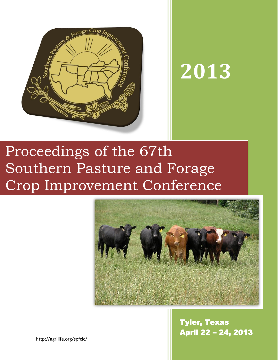

# **2013**

# Proceedings of the 67th Southern Pasture and Forage Crop Improvement Conference



Tyler, Texas April 22 – 24, 2013

http://agrilife.org/spfcic/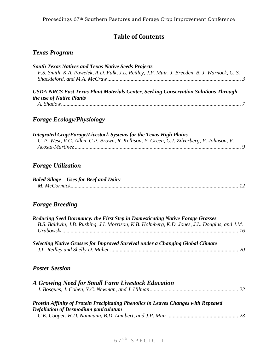# **Table of Contents**

# *Texas Program*

| <b>South Texas Natives and Texas Native Seeds Projects</b><br>F.S. Smith, K.A. Pawelek, A.D. Falk, J.L. Reilley, J.P. Muir, J. Breeden, B. J. Warnock, C. S.                  |
|-------------------------------------------------------------------------------------------------------------------------------------------------------------------------------|
| <b>USDA NRCS East Texas Plant Materials Center, Seeking Conservation Solutions Through</b><br>the use of Native Plants                                                        |
| <b>Forage Ecology/Physiology</b>                                                                                                                                              |
| <b>Integrated Crop/Forage/Livestock Systems for the Texas High Plains</b><br>C. P. West, V.G. Allen, C.P. Brown, R. Kellison, P. Green, C.J. Zilverberg, P. Johnson, V.       |
| <b>Forage Utilization</b>                                                                                                                                                     |
| <b>Baled Silage - Uses for Beef and Dairy</b>                                                                                                                                 |
| <b>Forage Breeding</b>                                                                                                                                                        |
| Reducing Seed Dormancy: the First Step in Domesticating Native Forage Grasses<br>B.S. Baldwin, J.B. Rushing, J.I. Morrison, K.B. Holmberg, K.D. Jones, J.L. Douglas, and J.M. |
| Selecting Native Grasses for Improved Survival under a Changing Global Climate                                                                                                |
| <b>Poster Session</b>                                                                                                                                                         |
| A Growing Need for Small Farm Livestock Education                                                                                                                             |
| Protein Affinity of Protein Precipitating Phenolics in Leaves Changes with Repeated<br><b>Defoliation of Desmodium paniculatum</b>                                            |

# $67$ <sup>th</sup> SPFCIC | 1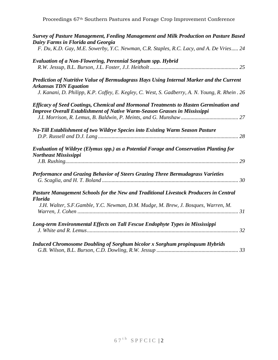| Survey of Pasture Management, Feeding Management and Milk Production on Pasture Based<br>Dairy Farms in Florida and Georgia                                                       |
|-----------------------------------------------------------------------------------------------------------------------------------------------------------------------------------|
| F. Du, K.D. Gay, M.E. Sowerby, Y.C. Newman, C.R. Staples, R.C. Lacy, and A. De Vries 24                                                                                           |
| <b>Evaluation of a Non-Flowering, Perennial Sorghum spp. Hybrid</b>                                                                                                               |
| Prediction of Nutritive Value of Bermudagrass Hays Using Internal Marker and the Current<br><b>Arkansas TDN Equation</b>                                                          |
| J. Kanani, D. Philipp, K.P. Coffey, E. Kegley, C. West, S. Gadberry, A. N. Young, R. Rhein. 26                                                                                    |
| <b>Efficacy of Seed Coatings, Chemical and Hormonal Treatments to Hasten Germination and</b><br><b>Improve Overall Establishment of Native Warm-Season Grasses in Mississippi</b> |
|                                                                                                                                                                                   |
| No-Till Establishment of two Wildrye Species into Existing Warm Season Pasture<br>28                                                                                              |
| Evaluation of Wildrye (Elymus spp.) as a Potential Forage and Conservation Planting for<br>Northeast Mississippi                                                                  |
|                                                                                                                                                                                   |
| Performance and Grazing Behavior of Steers Grazing Three Bermudagrass Varieties                                                                                                   |
| Pasture Management Schools for the New and Traditional Livestock Producers in Central<br><b>Florida</b>                                                                           |
| J.H. Walter, S.F.Gamble, Y.C. Newman, D.M. Mudge, M. Brew, J. Bosques, Warren, M.                                                                                                 |
| Long-term Environmental Effects on Tall Fescue Endophyte Types in Mississippi                                                                                                     |
| <b>Induced Chromosome Doubling of Sorghum bicolor x Sorghum propinguum Hybrids</b>                                                                                                |

*[G.B. Wilson, B.L. Burson, C.D. Dowling, R.W. Jessup](#page-33-1) ............................................................ 33*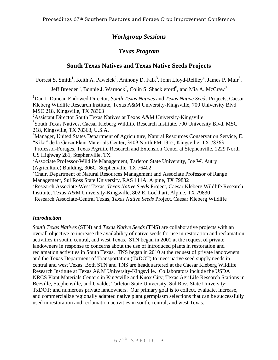# *Workgroup Sessions*

# *Texas Program*

# **South Texas Natives and Texas Native Seeds Projects**

<span id="page-3-1"></span><span id="page-3-0"></span>Forrest S. Smith<sup>1</sup>, Keith A. Pawelek<sup>2</sup>, Anthony D. Falk<sup>3</sup>, John Lloyd-Reilley<sup>4</sup>, James P. Muir<sup>5</sup>,

Jeff Breeden $^6$ , Bonnie J. Warnock<sup>7</sup>, Colin S. Shackleford $^8$ , and Mia A. McCraw $^9$ 

<sup>1</sup>Dan L Duncan Endowed Director, *South Texas Natives* and *Texas Native Seeds* Projects, Caesar Kleberg Wildlife Research Institute, Texas A&M University-Kingsville, 700 University Blvd MSC 218, Kingsville, TX 78363

<sup>2</sup>Assistant Director South Texas Natives at Texas A&M University-Kingsville <sup>3</sup>South Texas Natives, Caesar Kleberg Wildlife Research Institute, 700 University Blvd. MSC 218, Kingsville, TX 78363, U.S.A.

<sup>4</sup>Manager, United States Department of Agriculture, Natural Resources Conservation Service, E. "Kika" de la Garza Plant Materials Center, 3409 North FM 1355, Kingsville, TX 78363

<sup>5</sup>Professor-Forages, Texas Agrilife Research and Extension Center at Stephenville, 1229 North US Highway 281, Stephenville, TX

<sup>6</sup>Associate Professor-Wildlife Management, Tarleton State University, Joe W. Autry (Agriculture) Building, 306C, Stephenville, TX 76402

 $7$ Chair, Department of Natural Resources Management and Associate Professor of Range Management, Sul Ross State University, RAS 111A, Alpine, TX 79832

<sup>8</sup>Research Associate-West Texas, *Texas Native Seeds* Project, Caesar Kleberg Wildlife Research Institute, Texas A&M University-Kingsville, 802 E. Lockhart, Alpine, TX 79830

<sup>9</sup>Research Associate-Central Texas, *Texas Native Seeds* Project, Caesar Kleberg Wildlife

# *Introduction*

*South Texas Natives* (STN) and *Texas Native Seeds* (TNS) are collaborative projects with an overall objective to increase the availability of native seeds for use in restoration and reclamation activities in south, central, and west Texas. STN began in 2001 at the request of private landowners in response to concerns about the use of introduced plants in restoration and reclamation activities in South Texas. TNS began in 2010 at the request of private landowners and the Texas Department of Transportation (TxDOT) to meet native seed supply needs in central and west Texas. Both STN and TNS are headquartered at the Caesar Kleberg Wildlife Research Institute at Texas A&M University-Kingsville. Collaborators include the USDA NRCS Plant Materials Centers in Kingsville and Knox City; Texas AgriLife Research Stations in Beeville, Stephenville, and Uvalde; Tarleton State University; Sul Ross State University; TxDOT; and numerous private landowners. Our primary goal is to collect, evaluate, increase, and commercialize regionally adapted native plant germplasm selections that can be successfully used in restoration and reclamation activities in south, central, and west Texas.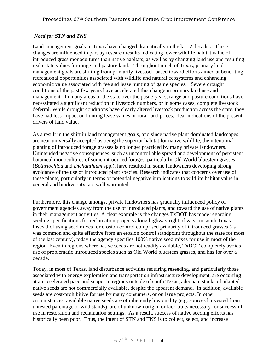# *Need for STN and TNS*

Land management goals in Texas have changed dramatically in the last 2 decades. These changes are influenced in part by research results indicating lower wildlife habitat value of introduced grass monocultures than native habitats, as well as by changing land use and resulting real estate values for range and pasture land. Throughout much of Texas, primary land management goals are shifting from primarily livestock based toward efforts aimed at benefiting recreational opportunities associated with wildlife and natural ecosystems and enhancing economic value associated with fee and lease hunting of game species. Severe drought conditions of the past few years have accelerated this change in primary land use and management. In many areas of the state over the past 3 years, range and pasture conditions have necessitated a significant reduction in livestock numbers, or in some cases, complete livestock deferral. While drought conditions have clearly altered livestock production across the state, they have had less impact on hunting lease values or rural land prices, clear indications of the present drivers of land value.

As a result in the shift in land management goals, and since native plant dominated landscapes are near-universally accepted as being the superior habitat for native wildlife, the intentional planting of introduced forage grasses is no longer practiced by many private landowners. Unintended negative consequences such as uncontrollable spread and development of persistent botanical monocultures of some introduced forages, particularly Old World bluestem grasses (*Bothriochloa* and *Dichanthium* spp.), have resulted in some landowners developing strong avoidance of the use of introduced plant species. Research indicates that concerns over use of these plants, particularly in terms of potential negative implications to wildlife habitat value in general and biodiversity, are well warranted.

Furthermore, this change amongst private landowners has gradually influenced policy of government agencies away from the use of introduced plants, and toward the use of native plants in their management activities. A clear example is the changes TxDOT has made regarding seeding specifications for reclamation projects along highway right of ways in south Texas. Instead of using seed mixes for erosion control comprised primarily of introduced grasses (as was common and quite effective from an erosion control standpoint throughout the state for most of the last century), today the agency specifies 100% native seed mixes for use in most of the region. Even in regions where native seeds are not readily available, TxDOT completely avoids use of problematic introduced species such as Old World bluestem grasses, and has for over a decade.

Today, in most of Texas, land disturbance activities requiring reseeding, and particularly those associated with energy exploration and transportation infrastructure development, are occurring at an accelerated pace and scope. In regions outside of south Texas, adequate stocks of adapted native seeds are not commercially available, despite the apparent demand. In addition, available seeds are cost-prohibitive for use by many consumers, or on large projects. In other circumstances, available native seeds are of inherently low quality (e.g. sources harvested from untested parentage or wild stands), are of unknown origin, or lack traits necessary for successful use in restoration and reclamation settings. As a result, success of native seeding efforts has historically been poor. Thus, the intent of STN and TNS is to collect, select, and increase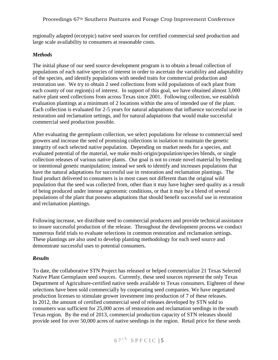regionally adapted (ecotypic) native seed sources for certified commercial seed production and large scale availability to consumers at reasonable costs.

# *Methods*

The initial phase of our seed source development program is to obtain a broad collection of populations of each native species of interest in order to ascertain the variability and adaptability of the species, and identify populations with needed traits for commercial production and restoration use. We try to obtain 2 seed collections from wild populations of each plant from each county of our region(s) of interest. In support of this goal, we have obtained almost 3,000 native plant seed collections from across Texas since 2001. Following collection, we establish evaluation plantings at a minimum of 2 locations within the area of intended use of the plant. Each collection is evaluated for 2-5 years for natural adaptations that influence successful use in restoration and reclamation settings, and for natural adaptations that would make successful commercial seed production possible.

After evaluating the germplasm collection, we select populations for release to commercial seed growers and increase the seed of promising collections in isolation to maintain the genetic integrity of each selected native population. Depending on market needs for a species, and evaluated potential of the material, we make multi-origin/population/species blends, or single collection releases of various native plants. Our goal is not to create novel material by breeding or intentional genetic manipulation; instead we seek to identify and increases populations that have the natural adaptations for successful use in restoration and reclamation plantings. The final product delivered to consumers is in most cases not different than the original wild population that the seed was collected from, other than it may have higher seed quality as a result of being produced under intense agronomic conditions, or that it may be a blend of several populations of the plant that possess adaptations that should benefit successful use in restoration and reclamation plantings.

Following increase, we distribute seed to commercial producers and provide technical assistance to insure successful production of the release. Throughout the development process we conduct numerous field trials to evaluate selections in common restoration and reclamation settings. These plantings are also used to develop planting methodology for each seed source and demonstrate successful uses to potential consumers.

#### *Results*

To date, the collaborative STN Project has released or helped commercialize 21 Texas Selected Native Plant Germplasm seed sources. Currently, these seed sources represent the only Texas Department of Agriculture-certified native seeds available to Texas consumers. Eighteen of these selections have been sold commercially by cooperating seed companies. We have negotiated production licenses to stimulate grower investment into production of 7 of these releases. In 2012, the amount of certified commercial seed of releases developed by STN sold to consumers was sufficient for 25,000 acres of restoration and reclamation seedings in the south Texas region. By the end of 2013, commercial production capacity of STN releases should provide seed for over 50,000 acres of native seedings in the region. Retail price for these seeds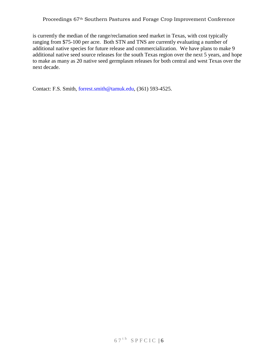#### Proceedings 67th Southern Pastures and Forage Crop Improvement Conference

is currently the median of the range/reclamation seed market in Texas, with cost typically ranging from \$75-100 per acre. Both STN and TNS are currently evaluating a number of additional native species for future release and commercialization. We have plans to make 9 additional native seed source releases for the south Texas region over the next 5 years, and hope to make as many as 20 native seed germplasm releases for both central and west Texas over the next decade.

Contact: F.S. Smith, [forrest.smith@tamuk.edu,](mailto:forrest.smith@tamuk.edu) (361) 593-4525.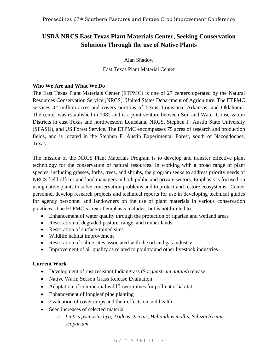# <span id="page-7-1"></span><span id="page-7-0"></span>**USDA NRCS East Texas Plant Materials Center, Seeking Conservation Solutions Through the use of Native Plants**

Alan Shadow

East Texas Plant Material Center

#### **Who We Are and What We Do**

The East Texas Plant Materials Center (ETPMC) is one of 27 centers operated by the Natural Resources Conservation Service (NRCS), United States Department of Agriculture. The ETPMC services 42 million acres and covers portions of Texas, Louisiana, Arkansas, and Oklahoma. The center was established in 1982 and is a joint venture between Soil and Water Conservation Districts in east Texas and northwestern Louisiana, NRCS, Stephen F. Austin State University (SFASU), and US Forest Service. The ETPMC encompasses 75 acres of research and production fields, and is located in the Stephen F. Austin Experimental Forest, south of Nacogdoches, Texas.

The mission of the NRCS Plant Materials Program is to develop and transfer effective plant technology for the conservation of natural resources. In working with a broad range of plant species, including grasses, forbs, trees, and shrubs, the program seeks to address priority needs of NRCS field offices and land managers in both public and private sectors. Emphasis is focused on using native plants to solve conservation problems and to protect and restore ecosystems. Center personnel develop research projects and technical reports for use in developing technical guides for agency personnel and landowners on the use of plant materials in various conservation practices. The ETPMC's area of emphasis includes, but is not limited to:

- Enhancement of water quality through the protection of riparian and wetland areas
- Restoration of degraded pasture, range, and timber lands
- Restoration of surface-mined sites
- Wildlife habitat improvement
- Restoration of saline sites associated with the oil and gas industry
- Improvement of air quality as related to poultry and other livestock industries

# **Current Work**

- Development of rust resistant Indiangrass (*Sorghastrum nutans*) release
- Native Warm Season Grass Release Evaluation
- Adaptation of commercial wildflower mixes for pollinator habitat
- Enhancement of longleaf pine planting
- Evaluation of cover crops and their effects on soil health
- Seed increases of selected material
	- o *Liatris pycnostachya, Tridens strictus, Helianthus mollis, Schizachyrium scoparium*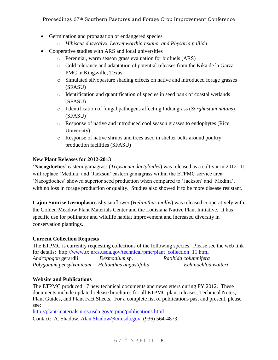Proceedings 67th Southern Pastures and Forage Crop Improvement Conference

- Germination and propagation of endangered species
	- o *Hibiscus dasycalyx, Leavenworthia texana, and Physaria pallida*
- Cooperative studies with ARS and local universities
	- o Perennial, warm season grass evaluation for biofuels (ARS)
	- o Cold tolerance and adaptation of potential releases from the Kika de la Garza PMC in Kingsville, Texas
	- o Simulated silvopasture shading effects on native and introduced forage grasses (SFASU)
	- o Identification and quantification of species in seed bank of coastal wetlands (SFASU)
	- o I dentification of fungal pathogens affecting Indiangrass (*Sorghastum nutans*) (SFASU)
	- o Response of native and introduced cool season grasses to endophytes (Rice University)
	- o Response of native shrubs and trees used in shelter belts around poultry production facilities (SFASU)

# **New Plant Releases for 2012-2013**

**'Nacogdoches'** eastern gamagrass (*Tripsacum dactyloides*) was released as a cultivar in 2012. It will replace 'Medina' and 'Jackson' eastern gamagrass within the ETPMC service area. 'Nacogdoches' showed superior seed production when compared to 'Jackson' and 'Medina', with no loss in forage production or quality. Studies also showed it to be more disease resistant.

**Cajun Sunrise Germplasm** ashy sunflower (*Helianthus mollis*) was released cooperatively with the Golden Meadow Plant Materials Center and the Louisiana Native Plant Initiative. It has specific use for pollinator and wildlife habitat improvement and increased diversity in conservation plantings.

# **Current Collection Requests**

The ETPMC is currently requesting collections of the following species. Please see the web link for details: [http://www.tx.nrcs.usda.gov/technical/pmc/plant\\_collection\\_11.html](http://www.tx.nrcs.usda.gov/technical/pmc/plant_collection_11.html) *Andropogon* gerardii *Desmodium* sp. *Ratibida columnifera Polygonum pensylvanicum Helianthus angustifolia Echinochloa walteri*

# **Website and Publications**

The ETPMC produced 17 new technical documents and newsletters during FY 2012. These documents include updated release brochures for all ETPMC plant releases, Technical Notes, Plant Guides, and Plant Fact Sheets. For a complete list of publications past and present, please see:

<http://plant-materials.nrcs.usda.gov/etpmc/publications.html>

Contact: A. Shadow, [Alan.Shadow@tx.usda.gov,](mailto:Alan.Shadow@tx.usda.gov) (936) 564-4873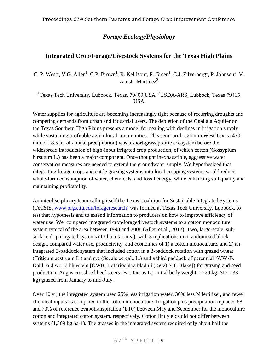# *Forage Ecology/Physiology*

# <span id="page-9-0"></span>**Integrated Crop/Forage/Livestock Systems for the Texas High Plains**

<span id="page-9-1"></span>C. P. West<sup>1</sup>, V.G. Allen<sup>1</sup>, C.P. Brown<sup>1</sup>, R. Kellison<sup>1</sup>, P. Green<sup>1</sup>, C.J. Zilverberg<sup>1</sup>, P. Johnson<sup>1</sup>, V. Acosta-Martinez $2^2$ 

<sup>1</sup>Texas Tech University, Lubbock, Texas, 79409 USA, <sup>2</sup>USDA-ARS, Lubbock, Texas 79415 USA

Water supplies for agriculture are becoming increasingly tight because of recurring droughts and competing demands from urban and industrial users. The depletion of the Ogallala Aquifer on the Texas Southern High Plains presents a model for dealing with declines in irrigation supply while sustaining profitable agricultural communities. This semi-arid region in West Texas (470) mm or 18.5 in. of annual precipitation) was a short-grass prairie ecosystem before the widespread introduction of high-input irrigated crop production, of which cotton (Gossypium hirsutum L.) has been a major component. Once thought inexhaustible, aggressive water conservation measures are needed to extend the groundwater supply. We hypothesized that integrating forage crops and cattle grazing systems into local cropping systems would reduce whole-farm consumption of water, chemicals, and fossil energy, while enhancing soil quality and maintaining profitability.

An interdisciplinary team calling itself the Texas Coalition for Sustainable Integrated Systems (TeCSIS, [www.orgs.ttu.edu/forageresearch\)](file:///C:/Users/charwest/AppData/Local/Microsoft/Windows/Temporary%20Internet%20Files/Content.Outlook/IN2YGHXV/www.orgs.ttu.edu/forageresearch) was formed at Texas Tech University, Lubbock, to test that hypothesis and to extend information to producers on how to improve efficiency of water use. We compared integrated crop/forage/livestock systems to a cotton monoculture system typical of the area between 1998 and 2008 (Allen et al., 2012). Two, large-scale, subsurface drip irrigated systems (13 ha total area), with 3 replications in a randomized block design, compared water use, productivity, and economics of 1) a cotton monoculture, and 2) an integrated 3-paddock system that included cotton in a 2-paddock rotation with grazed wheat (Triticum aestivum L.) and rye (Secale cereale L.) and a third paddock of perennial 'WW-B. Dahl' old world bluestem [OWB; Bothriochloa bladhii (Retz) S.T. Blake]) for grazing and seed production. Angus crossbred beef steers (Bos taurus L.; initial body weight =  $229$  kg; SD =  $33$ kg) grazed from January to mid-July.

Over 10 yr, the integrated system used 25% less irrigation water, 36% less N fertilizer, and fewer chemical inputs as compared to the cotton monoculture. Irrigation plus precipitation replaced 68 and 73% of reference evapotranspiration (ET0) between May and September for the monoculture cotton and integrated cotton system, respectively. Cotton lint yields did not differ between systems (1,369 kg ha-1). The grasses in the integrated system required only about half the

 $67$ <sup>th</sup> SPFCIC<sub>19</sub>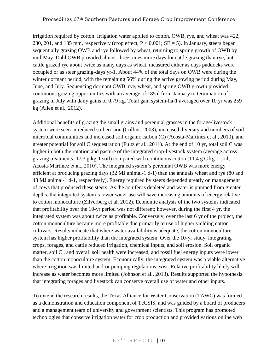irrigation required by cotton. Irrigation water applied to cotton, OWB, rye, and wheat was 422, 230, 201, and 135 mm, respectively (crop effect,  $P < 0.001$ ;  $SE = 5$ ). In January, steers began sequentially grazing OWB and rye followed by wheat, returning to spring growth of OWB by mid-May. Dahl OWB provided almost three times more days for cattle grazing than rye, but cattle grazed rye about twice as many days as wheat, measured either as days paddocks were occupied or as steer grazing-days yr-1. About 44% of the total days on OWB were during the winter dormant period, with the remaining 56% during the active growing period during May, June, and July. Sequencing dormant OWB, rye, wheat, and spring OWB growth provided continuous grazing opportunities with an average of 185 d from January to termination of grazing in July with daily gains of 0.79 kg. Total gain system-ha-1 averaged over 10 yr was 259 kg (Allen et al., 2012).

Additional benefits of grazing the small grains and perennial grasses in the forage/livestock system were seen in reduced soil erosion (Collins, 2003), increased diversity and numbers of soil microbial communities and increased soil organic carbon (C) (Acosta-Martinez et al., 2010), and greater potential for soil C sequestration (Fultz et al., 2011). At the end of 10 yr, total soil C was higher in both the rotation and pasture of the integrated crop-livestock system (average across grazing treatments: 17.3 g kg-1 soil) compared with continuous cotton (11.4 g C kg-1 soil; Acosta-Martinez et al., 2010). The integrated system's perennial OWB was more energy efficient at producing grazing days (32 MJ animal-1 d-1) than the annuals wheat and rye (80 and 48 MJ animal-1 d-1, respectively). Energy required by steers depended greatly on management of cows that produced these steers. As the aquifer is depleted and water is pumped from greater depths, the integrated system's lower water use will save increasing amounts of energy relative to cotton monoculture (Zilverberg et al. 2012). Economic analysis of the two systems indicated that profitability over the 10-yr period was not different; however, during the first 4 yr, the integrated system was about twice as profitable. Conversely, over the last 6 yr of the project, the cotton monoculture became more profitable due primarily to use of higher yielding cotton cultivars. Results indicate that where water availability is adequate, the cotton monoculture system has higher profitability than the integrated system. Over the 10-yr study, integrating crops, forages, and cattle reduced irrigation, chemical inputs, and soil erosion. Soil organic matter, soil C , and overall soil health were increased, and fossil fuel energy inputs were lower than the cotton monoculture system. Economically, the integrated system was a viable alternative where irrigation was limited and-or pumping regulations exist. Relative profitability likely will increase as water becomes more limited (Johnson et al., 2013). Results supported the hypothesis that integrating forages and livestock can conserve overall use of water and other inputs.

To extend the research results, the Texas Alliance for Water Conservation (TAWC) was formed as a demonstration and education component of TeCSIS, and was guided by a board of producers and a management team of university and government scientists. This program has promoted technologies that conserve irrigation water for crop production and provided various online web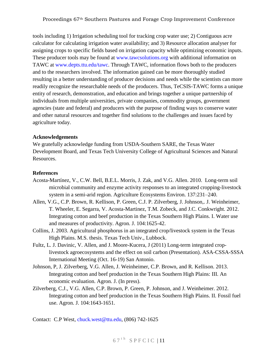tools including 1) Irrigation scheduling tool for tracking crop water use; 2) Contiguous acre calculator for calculating irrigation water availability; and 3) Resource allocation analyser for assigning crops to specific fields based on irrigation capacity while optimizing economic inputs. These producer tools may be found at [www.tawcsolutions.org](http://www.tawcsolutions.org/) with additional information on TAWC at [www.depts.ttu.edu/tawc.](http://www.depts.ttu.edu/tawc) Through TAWC, information flows both to the producers and to the researchers involved. The information gained can be more thoroughly studied resulting in a better understanding of producer decisions and needs while the scientists can more readily recognize the researchable needs of the producers. Thus, TeCSIS-TAWC forms a unique entity of research, demonstration, and education and brings together a unique partnership of individuals from multiple universities, private companies, commodity groups, government agencies (state and federal) and producers with the purpose of finding ways to conserve water and other natural resources and together find solutions to the challenges and issues faced by agriculture today.

#### **Acknowledgements**

We gratefully acknowledge funding from USDA-Southern SARE, the Texas Water Development Board, and Texas Tech University College of Agricultural Sciences and Natural Resources.

#### **References**

- Acosta-Martínez, V., C.W. Bell, B.E.L. Morris, J. Zak, and V.G. Allen. 2010. Long-term soil microbial community and enzyme activity responses to an integrated cropping-livestock system in a semi-arid region. Agriculture Ecosystems Environ. 137:231–240.
- Allen, V.G., C.P. Brown, R. Kellison, P. Green, C.J. P. Zilverberg, J. Johnson,. J. Weinheimer, T. Wheeler, E. Segarra, V. Acosta-Martinez, T.M. Zobeck, and J.C. Conkwright. 2012. Integrating cotton and beef production in the Texas Southern High Plains. I. Water use and measures of productivity. Agron. J. 104:1625-42.
- Collins, J. 2003. Agricultural phosphorus in an integrated crop/livestock system in the Texas High Plains. M.S. thesis. Texas Tech Univ., Lubbock.
- Fultz, L. J. Davinic, V. Allen, and J. Moore-Kucera, J (2011) Long-term integrated croplivestock agroecosystems and the effect on soil carbon (Presentation). ASA-CSSA-SSSA International Meeting (Oct. 16-19) San Antonio.
- Johnson, P, J. Zilverberg, V.G. Allen, J. Weinheimer, C.P. Brown, and R. Kellison. 2013. Integrating cotton and beef production in the Texas Southern High Plains: III. An economic evaluation. Agron. J. (In press).
- Zilverberg, C.J., V.G. Allen, C.P. Brown, P. Green, P. Johnson, and J. Weinheimer. 2012. Integrating cotton and beef production in the Texas Southern High Plains. II. Fossil fuel use. Agron. J. 104:1643-1651.

Contact: C.P West, [chuck.west@ttu.edu,](mailto:chuck.west@ttu.edu) (806) 742-1625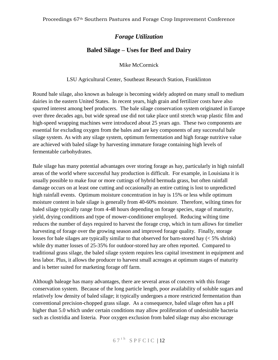# *Forage Utilization*

# **Baled Silage – Uses for Beef and Dairy**

Mike McCormick

#### LSU Agricultural Center, Southeast Research Station, Franklinton

<span id="page-12-1"></span><span id="page-12-0"></span>Round bale silage, also known as baleage is becoming widely adopted on many small to medium dairies in the eastern United States. In recent years, high grain and fertilizer costs have also spurred interest among beef producers. The bale silage conservation system originated in Europe over three decades ago, but wide spread use did not take place until stretch wrap plastic film and high-speed wrapping machines were introduced about 25 years ago. These two components are essential for excluding oxygen from the bales and are key components of any successful bale silage system. As with any silage system, optimum fermentation and high forage nutritive value are achieved with baled silage by harvesting immature forage containing high levels of fermentable carbohydrates.

Bale silage has many potential advantages over storing forage as hay, particularly in high rainfall areas of the world where successful hay production is difficult. For example, in Louisiana it is usually possible to make four or more cuttings of hybrid bermuda grass, but often rainfall damage occurs on at least one cutting and occasionally an entire cutting is lost to unpredicted high rainfall events. Optimum moisture concentration in hay is 15% or less while optimum moisture content in bale silage is generally from 40-60% moisture. Therefore, wilting times for baled silage typically range from 4-48 hours depending on forage species, stage of maturity, yield, drying conditions and type of mower-conditioner employed. Reducing wilting time reduces the number of days required to harvest the forage crop, which in turn allows for timelier harvesting of forage over the growing season and improved forage quality. Finally, storage losses for bale silages are typically similar to that observed for barn-stored hay (< 5% shrink) while dry matter losses of 25-35% for outdoor-stored hay are often reported. Compared to traditional grass silage, the baled silage system requires less capital investment in equipment and less labor. Plus, it allows the producer to harvest small acreages at optimum stages of maturity and is better suited for marketing forage off farm.

Although baleage has many advantages, there are several areas of concern with this forage conservation system. Because of the long particle length, poor availability of soluble sugars and relatively low density of baled silage; it typically undergoes a more restricted fermentation than conventional precision-chopped grass silage. As a consequence, baled silage often has a pH higher than 5.0 which under certain conditions may allow proliferation of undesirable bacteria such as clostridia and listeria. Poor oxygen exclusion from baled silage may also encourage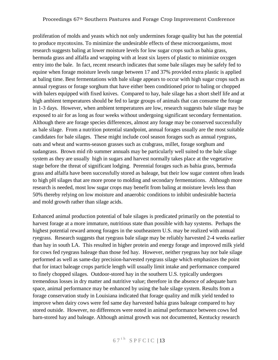# Proceedings 67th Southern Pastures and Forage Crop Improvement Conference

proliferation of molds and yeasts which not only undermines forage quality but has the potential to produce mycotoxins. To minimize the undesirable effects of these microorganisms, most research suggests baling at lower moisture levels for low sugar crops such as bahia grass, bermuda grass and alfalfa and wrapping with at least six layers of plastic to minimize oxygen entry into the bale. In fact, recent research indicates that some bale silages may be safely fed to equine when forage moisture levels range between 17 and 37% provided extra plastic is applied at baling time. Best fermentations with bale silage appears to occur with high sugar crops such as annual ryegrass or forage sorghum that have either been conditioned prior to baling or chopped with balers equipped with fixed knives. Compared to hay, bale silage has a short shelf life and at high ambient temperatures should be fed to large groups of animals that can consume the forage in 1-3 days. However, when ambient temperatures are low, research suggests bale silage may be exposed to air for as long as four weeks without undergoing significant secondary fermentation. Although there are forage species differences, almost any forage may be conserved successfully as bale silage. From a nutrition potential standpoint, annual forages usually are the most suitable candidates for bale silages. These might include cool season forages such as annual ryegrass, oats and wheat and warms-season grasses such as crabgrass, millet, forage sorghum and sudangrass. Brown mid rib summer annuals may be particularly well suited to the bale silage system as they are usually high in sugars and harvest normally takes place at the vegetative stage before the threat of significant lodging. Perennial forages such as bahia grass, bermuda grass and alfalfa have been successfully stored as baleage, but their low sugar content often leads to high pH silages that are more prone to molding and secondary fermentations. Although more research is needed, most low sugar crops may benefit from baling at moisture levels less than 50% thereby relying on low moisture and anaerobic conditions to inhibit undesirable bacteria and mold growth rather than silage acids.

Enhanced animal production potential of bale silages is predicated primarily on the potential to harvest forage at a more immature, nutritious state than possible with hay systems. Perhaps the highest potential reward among forages in the southeastern U.S. may be realized with annual ryegrass. Research suggests that ryegrass bale silage may be reliably harvested 2-4 weeks earlier than hay in south LA. This resulted in higher protein and energy forage and improved milk yield for cows fed ryegrass baleage than those fed hay. However, neither ryegrass hay nor bale silage performed as well as same-day precision-harvested ryegrass silage which emphasizes the point that for intact baleage crops particle length will usually limit intake and performance compared to finely chopped silages. Outdoor-stored hay in the southern U.S. typically undergoes tremendous losses in dry matter and nutritive value; therefore in the absence of adequate barn space, animal performance may be enhanced by using the bale silage system. Results from a forage conservation study in Louisiana indicated that forage quality and milk yield tended to improve when dairy cows were fed same day harvested bahia grass baleage compared to hay stored outside. However, no differences were noted in animal performance between cows fed barn-stored hay and baleage. Although animal growth was not documented, Kentucky research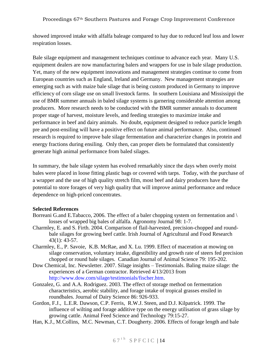showed improved intake with alfalfa baleage compared to hay due to reduced leaf loss and lower respiration losses.

Bale silage equipment and management techniques continue to advance each year. Many U.S. equipment dealers are now manufacturing balers and wrappers for use in bale silage production. Yet, many of the new equipment innovations and management strategies continue to come from European countries such as England, Ireland and Germany. New management strategies are emerging such as with maize bale silage that is being custom produced in Germany to improve efficiency of corn silage use on small livestock farms. In southern Louisiana and Mississippi the use of BMR summer annuals in baled silage systems is garnering considerable attention among producers. More research needs to be conducted with the BMR summer annuals to document proper stage of harvest, moisture levels, and feeding strategies to maximize intake and performance in beef and dairy animals. No doubt, equipment designed to reduce particle length pre and post-ensiling will have a positive effect on future animal performance. Also, continued research is required to improve bale silage fermentation and characterize changes in protein and energy fractions during ensiling. Only then, can proper diets be formulated that consistently generate high animal performance from baled silages.

In summary, the bale silage system has evolved remarkably since the days when overly moist bales were placed in loose fitting plastic bags or covered with tarps. Today, with the purchase of a wrapper and the use of high quality stretch film, most beef and dairy producers have the potential to store forages of very high quality that will improve animal performance and reduce dependence on high-priced concentrates.

# **Selected References**

- Borreani G.and E.Tabacco, 2006. The effect of a baler chopping system on fermentation and \ losses of wrapped big bales of alfalfa. Agronomy Journal 98: 1-7.
- Charmley, E. and S. Firth. 2004. Comparison of flail-harvested, precision-chopped and roundbale silages for growing beef cattle. Irish Journal of Agricultural and Food Research 43(1): 43-57.
- Charmley, E., P. Savoie, K.B. McRae, and X. Lu. 1999. Effect of maceration at mowing on silage conservation, voluntary intake, digestibility and growth rate of steers fed precision chopped or round bale silages. Canadian Journal of Animal Science 79: 195-202.
- Dow Chemical, Inc. Newsletter. 2007. Silage insights Testimonials. Baling maize silage: the experiences of a German contractor. Retrieved 4/13/2013 from [http://www.dow.com/silage/testimonials/fischer.htm.](http://www.dow.com/silage/testimonials/fischer.htm)
- Gonzalez, G. and A.A. Rodriguez. 2003. The effect of storage method on fermentation characteristics, aerobic stability, and forage intake of tropical grasses ensiled in roundbales. Journal of Dairy Science 86: 926-933.
- Gordon, F.J., L.E.R. Dawson, C.P. Ferris, R.W.J. Steen, and D.J. Kilpatrick. 1999. The influence of wilting and forage additive type on the energy utilisation of grass silage by growing cattle. Animal Feed Science and Technology 79:15-27.
- Han, K.J., M.Collins, M.C. Newman, C.T. Dougherty. 2006. Effects of forage length and bale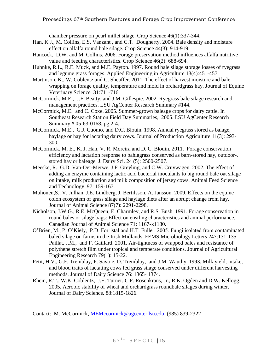chamber pressure on pearl millet silage. Crop Science 46(1):337-344.

- Han, K.J., M. Collins, E.S. Vanzant , and C.T. Dougherty. 2004. Bale density and moisture effect on alfalfa round bale silage. Crop Science 44(3): 914-919.
- Hancock, D.W. and M. Collins. 2006. Forage preservation method influences alfalfa nutritive value and feeding characteristics. Crop Science 46(2): 688-694.
- Huhnke, R.L., R.E. Muck, and M.E. Payton. 1997. Round bale silage storage losses of ryegrass and legume grass forages. Applied Engineering in Agriculture 13(4):451-457.
- Martinson, K., W. Coblentz and C. Sheaffer. 2011. The effect of harvest moisture and bale wrapping on forage quality, temperature and mold in orchardgrass hay. Journal of Equine Veterinary Science 31:711-716.
- McCormick, M.E., J.F. Beatty, and J.M. Gillespie. 2002. Ryegrass bale silage research and management practices. LSU AgCenter Research Summary #144.
- McCormick, M.E. and C. Coxe. 2005. Summer-grown baleage crops for dairy cattle. In Southeast Research Station Field Day Summaries, 2005. LSU AgCenter Research Summary # 05-63-0168, pg 2-4.
- McCormick, M.E., G.J. Cuomo, and D.C. Blouin. 1998. Annual ryegrass stored as balage, haylage or hay for lactating dairy cows. Journal of Production Agriculture 11(3): 293- 300.
- McCormick, M. E., K. J. Han, V. R. Moreira and D. C. Blouin. 2011. Forage conservation efficiency and lactation response to bahiagrass conserved as barn-stored hay, outdoor-. stored hay or baleage. J. Dairy Sci. 24 (5): 2500-2507.
- Meeske, R., G.D. Van-Der-Merwe, J.F. Greyling, and C.W. Cruywagen. 2002. The effect of adding an enzyme containing lactic acid bacterial inoculants to big round bale oat silage on intake, milk production and milk composition of jersey cows. Animal Feed Science and Technology 97: 159-167.
- Muhonen,S., V. Jullian, J.E. Lindberg, J. Bertilsson, A. Jansson. 2009. Effects on the equine colon ecosystem of grass silage and haylage diets after an abrupt change from hay. Journal of Animal Science 87(7): 2291-2298.
- Nicholson, J.W.G., R.E. McQueen, E. Charmley, and R.S. Bush. 1991. Forage conservation in round bales or silage bags: Effect on ensiling characteristics and animal performance. Canadian Journal of Animal Science 71: 1167-k1180.
- O'Brien, M., P. O'Kiely, P.D. Forristal and H.T. Fuller. 2005. Fungi isolated from contaminated baled silage on farms in the Irish Midlands. FEMS Microbiology Letters 247:131-135. Paillat, J.M., and F. Gaillard. 2001. Air-tightness of wrapped bales and resistance of polythene stretch film under tropical and temperate conditions. Journal of Agricultural Engineering Research 79(1): 15-22.
- Petit, H.V., G.F. Tremblay, P. Savoie, D. Tremblay, and J.M. Wauthy. 1993. Milk yield, intake, and blood traits of lactating cows fed grass silage conserved under different harvesting methods. Journal of Dairy Science 76: 1365- 1374.
- Rhein, R.T., W.K. Coblentz, J.E. Turner, C.F. Rosenkrans, Jr., R.K. Ogden and D.W. Kellogg. 2005. Aerobic stability of wheat and orchardgrass roundbale silages during winter. Journal of Dairy Science. 88:1815-1826.

Contact: M. McCormick, [MEMccormick@agcenter.lsu.edu,](mailto:MEMccormick@agcenter.lsu.edu) (985) 839-2322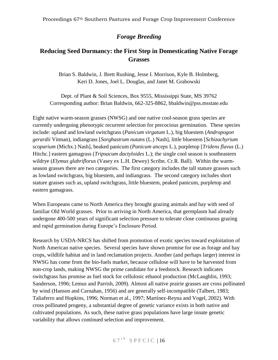# *Forage Breeding*

# <span id="page-16-1"></span><span id="page-16-0"></span>**Reducing Seed Dormancy: the First Step in Domesticating Native Forage Grasses**

Brian S. Baldwin, J. Brett Rushing, Jesse I. Morrison, Kyle B. Holmberg, Keri D. Jones, Joel L. Douglas, and Janet M. Grabowski

<span id="page-16-2"></span>Dept. of Plant & Soil Sciences, Box 9555, Mississippi State, MS 39762 Corresponding author: Brian Baldwin, 662-325-8862, bbaldwin@pss.msstate.edu

Eight native warm-season grasses (NWSG) and one native cool-season grass species are currently undergoing phenotypic recurrent selection for precocious germination. These species include: upland and lowland switchgrass (*Panicum virgatum* L.), big bluestem (*Andropogon gerardii* Vitman), indiangrass [*Sorghastrum nutans* (L.) Nash], little bluestem [*Schizachyrium scoparium* (Michx.) Nash], beaked panicum (*Panicum anceps* L.), purpletop [*Tridens flavus* (L.) Hitchc.] eastern gamagrass (*Tripsacum dactyloides* L.); the single cool season is southeastern wildrye (*Elymus glabriflorus* (Vasey ex L.H. Dewey) Scribn. Cr.R. Ball). Within the warmseason grasses there are two categories. The first category includes the tall stature grasses such as lowland switchgrass, big bluestem, and indiangrass. The second category includes short stature grasses such as, upland switchgrass, little bluestem, peaked panicum, purpletop and eastern gamagrass.

When Europeans came to North America they brought grazing animals and hay with seed of familiar Old World grasses. Prior to arriving in North America, that germplasm had already undergone 400-500 years of significant selection pressure to tolerate close continuous grazing and rapid germination during Europe's Enclosure Period.

Research by USDA-NRCS has shifted from promotion of exotic species toward exploitation of North American native species. Several species have shown promise for use as forage and hay crops, wildlife habitat and in land reclamation projects. Another (and perhaps larger) interest in NWSG has come from the bio-fuels market, because cellulose will have to be harvested from non-crop lands, making NWSG the prime candidate for a feedstock. Research indicates switchgrass has promise as fuel stock for cellulosic ethanol production (McLaughlin, 1993; Sanderson, 1996; Lemus and Parrish, 2009). Almost all native prairie grasses are cross pollinated by wind (Hanson and Carnahan, 1956) and are generally self-incompatible (Talbert, 1983; Taliaferro and Hopkins, 1996; Norman et al., 1997; Martínez-Reyna and Vogel, 2002). With cross pollinated progeny, a substantial degree of genetic variance exists in both native and cultivated populations. As such, these native grass populations have large innate genetic variability that allows continued selection and improvement.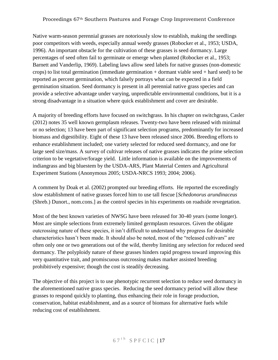#### Proceedings 67th Southern Pastures and Forage Crop Improvement Conference

Native warm-season perennial grasses are notoriously slow to establish, making the seedlings poor competitors with weeds, especially annual weedy grasses (Robocker et al., 1953; USDA, 1996). An important obstacle for the cultivation of these grasses is seed dormancy. Large percentages of seed often fail to germinate or emerge when planted (Robocker et al., 1953; Barnett and Vanderlip, 1969). Labeling laws allow seed labels for native grasses (non-domestic crops) to list total germination (immediate germination + dormant viable seed + hard seed) to be reported as percent germination, which falsely portrays what can be expected in a field germination situation. Seed dormancy is present in all perennial native grass species and can provide a selective advantage under varying, unpredictable environmental conditions, but it is a strong disadvantage in a situation where quick establishment and cover are desirable.

A majority of breeding efforts have focused on switchgrass. In his chapter on switchgrass, Casler (2012) notes 35 well known germplasm releases. Twenty-two have been released with minimal or no selection; 13 have been part of significant selection programs, predominantly for increased biomass and digestibility. Eight of these 13 have been released since 2006. Breeding efforts to enhance establishment included; one variety selected for reduced seed dormancy, and one for large seed size/mass. A survey of cultivar releases of native grasses indicates the prime selection criterion to be vegetative/forage yield. Little information is available on the improvements of indiangrass and big bluestem by the USDA-ARS, Plant Material Centers and Agricultural Experiment Stations (Anonymous 2005; USDA-NRCS 1993; 2004; 2006).

A comment by Doak et al. (2002) prompted our breeding efforts. He reported the exceedingly slow establishment of native grasses forced him to use tall fescue [*Schedonorus arundinaceus* (Shreb.) Dunort., nom.cons.] as the control species in his experiments on roadside revegetation.

Most of the best known varieties of NWSG have been released for 30-40 years (some longer). Most are simple selections from extremely limited germplasm resources. Given the obligate outcrossing nature of these species, it isn't difficult to understand why progress for desirable characteristics hasn't been made. It should also be noted, most of the "released cultivars" are often only one or two generations out of the wild, thereby limiting any selection for reduced seed dormancy. The polyploidy nature of these grasses hinders rapid progress toward improving this very quantitative trait, and promiscuous outcrossing makes marker assisted breeding prohibitively expensive; though the cost is steadily decreasing.

The objective of this project is to use phenotypic recurrent selection to reduce seed dormancy in the aforementioned native grass species. Reducing the seed dormancy period will allow these grasses to respond quickly to planting, thus enhancing their role in forage production, conservation, habitat establishment, and as a source of biomass for alternative fuels while reducing cost of establishment.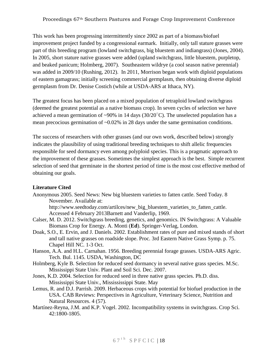#### Proceedings 67th Southern Pastures and Forage Crop Improvement Conference

This work has been progressing intermittently since 2002 as part of a biomass/biofuel improvement project funded by a congressional earmark. Initially, only tall stature grasses were part of this breeding program (lowland switchgrass, big bluestem and indiangrass) (Jones, 2004). In 2005, short stature native grasses were added (upland switchgrass, little bluestem, purpletop, and beaked panicum; Holmberg, 2007). Southeastern wildrye (a cool season native perennial) was added in 2009/10 (Rushing, 2012). In 2011, Morrison began work with diploid populations of eastern gamagrass; initially screening commercial germplasm, then obtaining diverse diploid germplasm from Dr. Denise Costich (while at USDA-ARS at Ithaca, NY).

The greatest focus has been placed on a mixed population of tetraploid lowland switchgrass (deemed the greatest potential as a native biomass crop). In seven cycles of selection we have achieved a mean germination of ~90% in 14 days (30/20 $^{\circ}$ C). The unselected population has a mean precocious germination of ~0.02% in 28 days under the same germination conditions.

The success of researchers with other grasses (and our own work, described below) strongly indicates the plausibility of using traditional breeding techniques to shift allelic frequencies responsible for seed dormancy even among polyploid species. This is a pragmatic approach to the improvement of these grasses. Sometimes the simplest approach is the best. Simple recurrent selection of seed that germinate in the shortest period of time is the most cost effective method of obtaining our goals.

# **Literature Cited**

Anonymous 2005. Seed News: New big bluestem varieties to fatten cattle. Seed Today. 8 November. Available at:

http://www.seedtoday.com/artilces/new\_big\_bluestem\_varieties\_to\_fatten\_cattle. Accessed 4 February 2013Barnett and Vanderlip, 1969.

- Calser, M. D. 2012. Switchgrass breeding, genetics, and genomics. IN Switchgrass: A Valuable Biomass Crop for Energy. A. Monti (**Ed**). Springer-Verlag, London.
- Doak, S.O., E. Ervin, and J. Daniels. 2002. Establishment rates of pure and mixed stands of short and tall native grasses on roadside slope. Proc. 3rd Eastern Native Grass Symp. p. 75. Chapel Hill NC. 1-3 Oct.
- Hanson, A.A. and H.L. Carnahan. 1956. Breeding perennial forage grasses. USDA-ARS Agric. Tech. Bul. 1145. USDA, Washington, DC
- Holmberg, Kyle B. Selection for reduced seed dormancy in several native grass species. M.Sc. Mississippi State Univ. Plant and Soil Sci. Dec. 2007.
- Jones, K.D. 2004. Selection for reduced seed in three native grass species. Ph.D. diss. Mississippi State Univ., Missississippi State. May
- Lemus, R. and D.J. Parrish. 2009. Herbaceous crops with potential for biofuel production in the USA. CAB Reviews: Perspectives in Agriculture, Veterinary Science, Nutrition and Natural Resources. 4 (57).
- Martínez-Reyna, J.M. and K.P. Vogel. 2002. Incompatibility systems in switchgrass. Crop Sci. 42:1800-1805.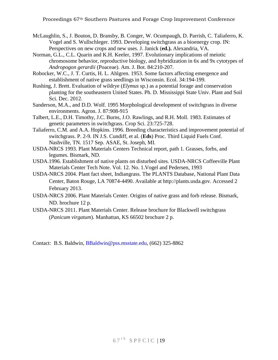- McLaughlin, S., J. Bouton, D. Bransby, B. Conger, W. Ocumpaugh, D. Parrish, C. Taliaferro, K. Vogel and S. Wullschleger. 1993. Developing switchgrass as a bioenergy crop. IN: Perspectives on new crops and new uses. J. Janick (**ed.).** Alexandria, VA.
- Norman, G.L., C.L. Quarin and K.H. Keeler, 1997. Evolutionary implications of meiotic chromosome behavior, reproductive biology, and hybridization in 6x and 9x cytotypes of *Andropogon gerardii* (Poaceae). Am. J. Bot. 84:210-207.
- Robocker, W.C., J. T. Curtis, H. L. Ahlgren. 1953. Some factors affecting emergence and establishment of native grass seedlings in Wisconsin. Ecol. 34:194-199.
- Rushing, J. Brett. Evaluation of wildrye (*Elymus* sp.) as a potential forage and conservation planting for the southeastern United States. Ph. D. Mississippi State Univ. Plant and Soil Sci. Dec. 2012.
- Sanderson, M.A., and D.D. Wolf. 1995 Morphological development of switchgrass in diverse environments. Agron. J. 87:908-915
- Talbert, L.E., D.H. Timothy, J.C. Burns, J.O. Rawlings, and R.H. Moll. 1983. Estimates of genetic parameters in switchgrass. Crop Sci. 23:725-728.
- Taliaferro, C.M. and A.A. Hopkins. 1996. Breeding characteristics and improvement potential of switchgrass. P. 2-9. IN J.S. Cundiff, et al. (**Eds**) Proc. Third Liquid Fuels Conf. Nashville, TN. 1517 Sep. ASAE, St. Joseph, MI.
- USDA-NRCS 1993. Plant Materials Centers Technical report, path 1. Grasses, forbs, and legumes. Bismark, ND.
- USDA.1996. Establishment of native plants on disturbed sites. USDA-NRCS Coffeeville Plant Materials Center Tech Note. Vol. 12. No. 1.Vogel and Pedersen, 1993
- USDA-NRCS 2004. Plant fact sheet, Indiangrass. The PLANTS Database, National Plant Data Center, Baton Rouge, LA 70874-4490. Available at http://plants.usda.gov. Accessed 2 February 2013.
- USDA-NRCS 2006. Plant Materials Center. Origins of native grass and forb release. Bismark, ND. brochure 12 p.
- USDA-NRCS 2011. Plant Materials Center. Release brochure for Blackwell switchgrass (*Panicum virgatum*). Manhattan, KS 66502 brochure 2 p.

Contact: B.S. Baldwin, [BBaldwin@pss.msstate.edu,](mailto:BBaldwin@pss.msstate.edu) (662) 325-8862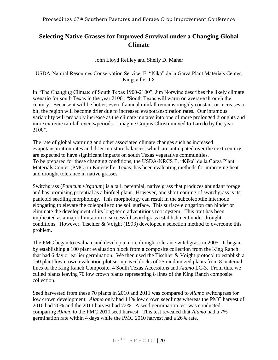# <span id="page-20-0"></span>**Selecting Native Grasses for Improved Survival under a Changing Global Climate**

# John Lloyd Reilley and Shelly D. Maher

# <span id="page-20-1"></span>USDA-Natural Resources Conservation Service, E. "Kika" de la Garza Plant Materials Center, Kingsville, TX

In "The Changing Climate of South Texas 1900-2100", Jim Norwine describes the likely climate scenario for south Texas in the year 2100. "South Texas will warm on average through the century. Because it will be hotter, even if annual rainfall remains roughly constant or increases a bit, the region will become drier due to increased evapotranspiration rates. Our infamous variability will probably increase as the climate mutates into one of more prolonged droughts and more extreme rainfall events/periods. Imagine Corpus Christi moved to Laredo by the year 2100".

The rate of global warming and other associated climate changes such as increased evapotanspiration rates and drier moisture balances, which are anticipated over the next century, are expected to have significant impacts on south Texas vegetative communities. To be prepared for these changing conditions, the USDA-NRCS E. "Kika" de la Garza Plant Materials Center (PMC) in Kingsville, Texas, has been evaluating methods for improving heat and drought tolerance in native grasses.

Switchgrass (*Panicum virgatum*) is a tall, perennial, native grass that produces abundant forage and has promising potential as a biofuel plant. However, one short coming of switchgrass is its panicoid seedling morphology. This morphology can result in the subcoleoptile internode elongating to elevate the coleoptile to the soil surface. This surface elongation can hinder or eliminate the development of its long-term adventitious root system. This trait has been implicated as a major limitation to successful switchgrass establishment under drought conditions. However, Tischler & Voight (1993) developed a selection method to overcome this problem.

The PMC began to evaluate and develop a more drought tolerant switchgrass in 2005. It began by establishing a 100 plant evaluation block from a composite collection from the King Ranch that had 6 day or earlier germination. We then used the Tischler & Voight protocol to establish a 150 plant low crown evaluation plot set-up as 6 blocks of 25 randomized plants from 8 maternal lines of the King Ranch Composite, 4 South Texas Accessions and *Alamo* LC-3. From this, we culled plants leaving 70 low crown plants representing 8 lines of the King Ranch composite collection.

Seed harvested from these 70 plants in 2010 and 2011 was compared to *Alamo* switchgrass for low crown development. *Alamo* only had 11% low crown seedlings whereas the PMC harvest of 2010 had 70% and the 2011 harvest had 72%. A seed germination test was conducted comparing *Alamo* to the PMC 2010 seed harvest. This test revealed that *Alamo* had a 7% germination rate within 4 days while the PMC 2010 harvest had a 26% rate.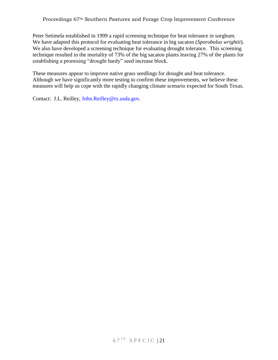#### Proceedings 67th Southern Pastures and Forage Crop Improvement Conference

Peter Setimela established in 1999 a rapid screening technique for heat tolerance in sorghum. We have adapted this protocol for evaluating heat tolerance in big sacaton (*Sporobolus wrightii*). We also have developed a screening technique for evaluating drought tolerance. This screening technique resulted in the mortality of 73% of the big sacaton plants leaving 27% of the plants for establishing a promising "drought hardy" seed increase block.

These measures appear to improve native grass seedlings for drought and heat tolerance. Although we have significantly more testing to confirm these improvements, we believe these measures will help us cope with the rapidly changing climate scenario expected for South Texas.

Contact: J.L. Reilley, [John.Reilley@tx.usda.gov.](mailto:John.Reilley@tx.usda.gov)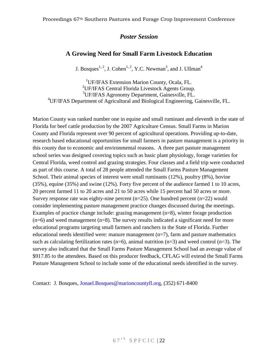# *Poster Session*

# **A Growing Need for Small Farm Livestock Education**

J. Bosques<sup>1, 2</sup>, J. Cohen<sup>1, 2</sup>, Y.C. Newman<sup>3</sup>, and J. Ullman<sup>4</sup>

<span id="page-22-1"></span><span id="page-22-0"></span><sup>1</sup>UF/IFAS Extension Marion County, Ocala, FL. <sup>2</sup>UF/IFAS Central Florida Livestock Agents Group. <sup>3</sup>UF/IFAS Agronomy Department, Gainesville, FL. <sup>4</sup>UF/IFAS Department of Agricultural and Biological Engineering, Gainesville, FL.

Marion County was ranked number one in equine and small ruminant and eleventh in the state of Florida for beef cattle production by the 2007 Agriculture Census. Small Farms in Marion County and Florida represent over 90 percent of agricultural operations. Providing up-to-date, research based educational opportunities for small farmers in pasture management is a priority in this county due to economic and environmental reasons. A three part pasture management school series was designed covering topics such as basic plant physiology, forage varieties for Central Florida, weed control and grazing strategies. Four classes and a field trip were conducted as part of this course. A total of 28 people attended the Small Farms Pasture Management School. Their animal species of interest were small ruminants (12%), poultry (8%), bovine (35%), equine (35%) and swine (12%). Forty five percent of the audience farmed 1 to 10 acres, 20 percent farmed 11 to 20 acres and 21 to 50 acres while 15 percent had 50 acres or more. Survey response rate was eighty-nine percent  $(n=25)$ . One hundred percent  $(n=22)$  would consider implementing pasture management practice changes discussed during the meetings. Examples of practice change include: grazing management (n=8), winter forage production  $(n=6)$  and weed management  $(n=8)$ . The survey results indicated a significant need for more educational programs targeting small farmers and ranchers in the State of Florida. Further educational needs identified were: manure management  $(n=7)$ , farm and pasture mathematics such as calculating fertilization rates ( $n=6$ ), animal nutrition ( $n=3$ ) and weed control ( $n=3$ ). The survey also indicated that the Small Farms Pasture Management School had an average value of \$917.85 to the attendees. Based on this producer feedback, CFLAG will extend the Small Farms Pasture Management School to include some of the educational needs identified in the survey.

Contact: J. Bosques, [Jonael.Bosques@marioncountyfl.org,](mailto:Jonael.Bosques@marioncountyfl.org) (352) 671-8400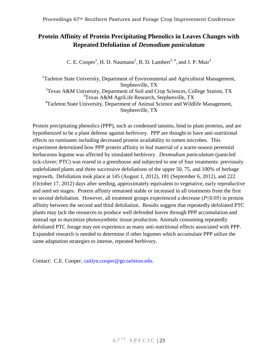# <span id="page-23-0"></span>**Protein Affinity of Protein Precipitating Phenolics in Leaves Changes with Repeated Defoliation of** *Desmodium paniculatum*

C. E. Cooper<sup>1</sup>, H. D. Naumann<sup>2</sup>, B. D. Lambert<sup>3, 4</sup>, and J. P. Muir<sup>3</sup>

<span id="page-23-1"></span><sup>1</sup>Tarleton State University, Department of Environmental and Agricultural Management, Stephenville, TX <sup>2</sup>Texas A&M University, Department of Soil and Crop Sciences, College Station, TX 3 Texas A&M AgriLife Research, Stephenville, TX <sup>4</sup>Tarleton State University, Department of Animal Science and Wildlife Management, Stephenville, TX

Protein precipitating phenolics (PPP), such as condensed tannins, bind to plant proteins, and are hypothesized to be a plant defense against herbivory. PPP are thought to have anti-nutritional effects on ruminants including decreased protein availability to rumen microbes. This experiment determined how PPP protein affinity in leaf material of a warm-season perennial herbaceous legume was affected by simulated herbivory. *Desmodium paniculatum* (panicled tick-clover; PTC) was reared in a greenhouse and subjected to one of four treatments: previously undefoliated plants and three successive defoliations of the upper 50, 75, and 100% of herbage regrowth**.** Defoliation took place at 145 (August 1, 2012), 181 (September 6, 2012), and 222 (October 17, 2012) days after seeding, approximately equivalent to vegetative, early reproductive and seed set stages. Protein affinity remained stable or increased in all treatments from the first to second defoliation. However, all treatment groups experienced a decrease (*P*≤0.05) in protein affinity between the second and third defoliation. Results suggest that repeatedly defoliated PTC plants may lack the resources to produce well defended leaves through PPP accumulation and instead opt to maximize photosynthetic tissue production. Animals consuming repeatedly defoliated PTC forage may not experience as many anti-nutritional effects associated with PPP. Expanded research is needed to determine if other legumes which accumulate PPP utilize the same adaptation strategies to intense, repeated herbivory.

Contact: C.E. Cooper, [caitlyn.cooper@go.tarleton.edu.](mailto:caitlyn.cooper@go.tarleton.edu)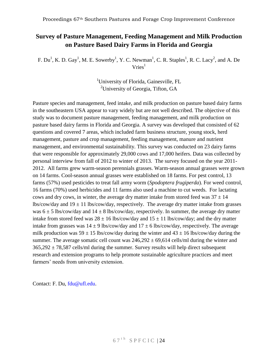# <span id="page-24-0"></span>**Survey of Pasture Management, Feeding Management and Milk Production on Pasture Based Dairy Farms in Florida and Georgia**

<span id="page-24-1"></span>F.  $Du<sup>1</sup>$ , K. D. Gay<sup>1</sup>, M. E. Sowerby<sup>1</sup>, Y. C. Newman<sup>1</sup>, C. R. Staples<sup>1</sup>, R. C. Lacy<sup>2</sup>, and A. De  $Vries<sup>1</sup>$ 

> <sup>1</sup>University of Florida, Gainesville, FL <sup>2</sup>University of Georgia, Tifton, GA

Pasture species and management, feed intake, and milk production on pasture based dairy farms in the southeastern USA appear to vary widely but are not well described. The objective of this study was to document pasture management, feeding management, and milk production on pasture based dairy farms in Florida and Georgia. A survey was developed that consisted of 62 questions and covered 7 areas, which included farm business structure, young stock, herd management, pasture and crop management, feeding management, manure and nutrient management, and environmental sustainability. This survey was conducted on 23 dairy farms that were responsible for approximately 29,000 cows and 17,000 heifers. Data was collected by personal interview from fall of 2012 to winter of 2013. The survey focused on the year 2011- 2012. All farms grew warm-season perennials grasses. Warm-season annual grasses were grown on 14 farms. Cool-season annual grasses were established on 18 farms. For pest control, 13 farms (57%) used pesticides to treat fall army worm (*Spodoptera frugiperda*). For weed control, 16 farms (70%) used herbicides and 11 farms also used a machine to cut weeds. For lactating cows and dry cows, in winter, the average dry matter intake from stored feed was  $37 \pm 14$ lbs/cow/day and  $19 \pm 11$  lbs/cow/day, respectively. The average dry matter intake from grasses was  $6 \pm 5$  lbs/cow/day and  $14 \pm 8$  lbs/cow/day, respectively. In summer, the average dry matter intake from stored feed was  $28 \pm 16$  lbs/cow/day and  $15 \pm 11$  lbs/cow/day; and the dry matter intake from grasses was  $14 \pm 9$  lbs/cow/day and  $17 \pm 6$  lbs/cow/day, respectively. The average milk production was  $59 \pm 15$  lbs/cow/day during the winter and  $43 \pm 16$  lbs/cow/day during the summer. The average somatic cell count was  $246,292 \pm 69,614$  cells/ml during the winter and  $365,292 \pm 78,587$  cells/ml during the summer. Survey results will help direct subsequent research and extension programs to help promote sustainable agriculture practices and meet farmers' needs from university extension.

Contact: F. Du, [fdu@ufl.edu.](mailto:fdu@ufl.edu)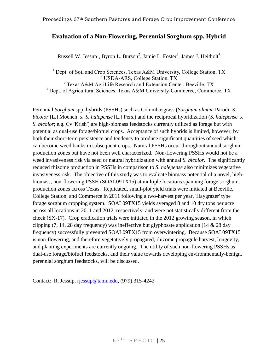# <span id="page-25-0"></span>**Evaluation of a Non-Flowering, Perennial Sorghum spp. Hybrid**

Russell W. Jessup<sup>1</sup>, Byron L. Burson<sup>2</sup>, Jamie L. Foster<sup>3</sup>, James J. Heitholt<sup>4</sup>

<span id="page-25-1"></span><sup>1</sup> Dept. of Soil and Crop Sciences, Texas A&M University, College Station, TX  $2^2$ USDA-ARS, College Station, TX <sup>3</sup> Texas A&M AgriLife Research and Extension Center, Beeville, TX <sup>4</sup> Dept. of Agricultural Sciences, Texas A&M University-Commerce, Commerce, TX

Perennial *Sorghum* spp. hybrids (PSSHs) such as Columbusgrass (*Sorghum almum* Parodi; *S. bicolor* [L.] Moench x *S. halepense* [L.] Pers.) and the reciprocal hybridization (*S. halepense* x *S. bicolor*; e.g. Cv 'Krish') are high-biomass feedstocks currently utilized as forage but with potential as dual-use forage/biofuel crops. Acceptance of such hybrids is limited, however, by both their short-term persistence and tendency to produce significant quantities of seed which can become weed banks in subsequent crops. Natural PSSHs occur throughout annual sorghum production zones but have not been well characterized. Non-flowering PSSHs would not be a weed invasiveness risk via seed or natural hybridization with annual *S. bicolor*. The significantly reduced rhizome production in PSSHs in comparison to *S. halepense* also minimizes vegetative invasiveness risk. The objective of this study was to evaluate biomass potential of a novel, highbiomass, non-flowering PSSH (SOAL09TX15) at multiple locations spanning forage sorghum production zones across Texas. Replicated, small-plot yield trials were initiated at Beeville, College Station, and Commerce in 2011 following a two-harvest per year, 'Haygrazer' type forage sorghum cropping system. SOAL09TX15 yields averaged 8 and 10 dry tons per acre across all locations in 2011 and 2012, respectively, and were not statistically different from the check (SX-17). Crop eradication trials were initiated in the 2012 growing season, in which clipping  $(7, 14, 28 \text{ day frequency})$  was ineffective but glyphosate application  $(14 \& 28 \text{ day})$ frequency) successfully prevented SOAL09TX15 from overwintering. Because SOAL09TX15 is non-flowering, and therefore vegetatively propagated, rhizome propagule harvest, longevity, and planting experiments are currently ongoing. The utility of such non-flowering PSSHs as dual-use forage/biofuel feedstocks, and their value towards developing environmentally-benign, perennial sorghum feedstocks, will be discussed.

Contact: R. Jessup, [rjessup@tamu.edu,](mailto:rjessup@tamu.edu) (979) 315-4242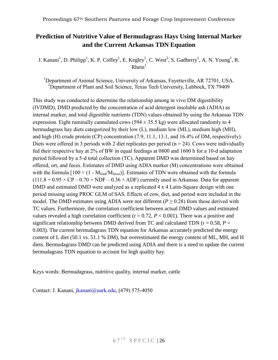# <span id="page-26-0"></span>**Prediction of Nutritive Value of Bermudagrass Hays Using Internal Marker and the Current Arkansas TDN Equation**

<span id="page-26-1"></span>J. Kanani<sup>1</sup>, D. Philipp<sup>1</sup>, K. P. Coffey<sup>1</sup>, E. Kegley<sup>1</sup>, C. West<sup>2</sup>, S. Gadberry<sup>1</sup>, A. N. Young<sup>1</sup>, R.  $Rhein<sup>1</sup>$ 

<sup>1</sup>Department of Animal Science, University of Arkansas, Fayetteville, AR 72701, USA. <sup>2</sup>Department of Plant and Soil Science, Texas Tech University, Lubbock, TX 79409

This study was conducted to determine the relationship among in vivo DM digestibility (IVDMD), DMD predicted by the concentration of acid detergent insoluble ash (ADIA) as internal marker, and total digestible nutrients (TDN) values obtained by using the Arkansas TDN expression. Eight ruminally cannulated cows  $(594 \pm 35.5 \text{ kg})$  were allocated randomly to 4 bermudagrass hay diets categorized by their low (L), medium low (ML), medium high (MH), and high (H) crude protein (CP) concentration (7.9, 11.1, 13.1, and 16.4% of DM, respectively). Diets were offered in 3 periods with 2 diet replicates per period ( $n = 24$ ). Cows were individually fed their respective hay at 2% of BW in equal feedings at 0800 and 1600 h for a 10-d adaptation period followed by a 5-d total collection (TC). Apparent DMD was determined based on hay offered, ort, and feces. Estimates of DMD using ADIA marker (M) concentrations were obtained with the formula  $[100 \times (1 - M_{\text{feed}}/M_{\text{feces}})]$ . Estimates of TDN were obtained with the formula  $(111.8 + 0.95 \times CP - 0.70 \times NDF - 0.36 \times ADF)$  currently used in Arkansas. Data for apparent DMD and estimated DMD were analyzed as a replicated 4 x 4 Latin-Square design with one period missing using PROC GLM of SAS. Effects of cow, diet, and period were included in the model. The DMD estimates using ADIA were not different ( $P \ge 0.28$ ) from those derived with TC values. Furthermore, the correlation coefficient between actual DMD values and estimated values revealed a high correlation coefficient ( $r = 0.72$ ,  $P < 0.001$ ). There was a positive and significant relationship between DMD derived from TC and calculated TDN ( $r = 0.58$ ,  $P =$ 0.003). The current bermudagrass TDN equation for Arkansas accurately predicted the energy content of L diet (50.1 vs. 51.1 % DM), but overestimated the energy content of ML, MH, and H diets. Bermudagrass DMD can be predicted using ADIA and there is a need to update the current bermudagrass TDN equation to account for high quality hay.

Keys words: Bermudagrass, nutritive quality, internal marker, cattle

Contact: J. Kanani, [jkanani@uark.edu,](mailto:jkanani@uark.edu) (479) 575-4050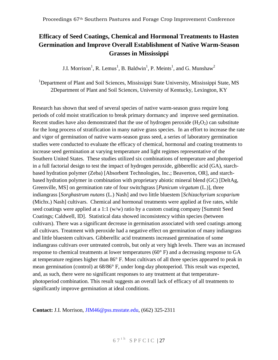# <span id="page-27-0"></span>**Efficacy of Seed Coatings, Chemical and Hormonal Treatments to Hasten Germination and Improve Overall Establishment of Native Warm-Season Grasses in Mississippi**

J.I. Morrison<sup>1</sup>, R. Lemus<sup>1</sup>, B. Baldwin<sup>1</sup>, P. Meints<sup>1</sup>, and G. Munshaw<sup>2</sup>

<span id="page-27-1"></span><sup>1</sup>Department of Plant and Soil Sciences, Mississippi State University, Mississippi State, MS 2Department of Plant and Soil Sciences, University of Kentucky, Lexington, KY

Research has shown that seed of several species of native warm-season grass require long periods of cold moist stratification to break primary dormancy and improve seed germination. Recent studies have also demonstrated that the use of hydrogen peroxide  $(H_2O_2)$  can substitute for the long process of stratification in many native grass species. In an effort to increase the rate and vigor of germination of native warm-season grass seed, a series of laboratory germination studies were conducted to evaluate the efficacy of chemical, hormonal and coating treatments to increase seed germination at varying temperature and light regimes representative of the Southern United States. These studies utilized six combinations of temperature and photoperiod in a full factorial design to test the impact of hydrogen peroxide, gibberellic acid (GA), starchbased hydration polymer (Zeba) [Absorbent Technologies, Inc.; Beaverton, OR], and starchbased hydration polymer in combination with proprietary abiotic mineral blend (GC) [DeltAg, Greenville, MS] on germination rate of four switchgrass [*Panicum virgatum* (L.)], three indiangrass [*Sorghastrum nutans* (L.) Nash] and two little bluestem [*Schizachyrium scoparium* (Michx.) Nash] cultivars. Chemical and hormonal treatments were applied at five rates, while seed coatings were applied at a 1:1 (w/w) ratio by a custom coating company [Summit Seed Coatings; Caldwell, ID]. Statistical data showed inconsistency within species (between cultivars). There was a significant decrease in germination associated with seed coatings among all cultivars. Treatment with peroxide had a negative effect on germination of many indiangrass and little bluestem cultivars. Gibberellic acid treatments increased germination of some indiangrass cultivars over untreated controls, but only at very high levels. There was an increased response to chemical treatments at lower temperatures (60° F) and a decreasing response to GA at temperature regimes higher than 86° F. Most cultivars of all three species appeared to peak in mean germination (control) at 68/86° F, under long-day photoperiod. This result was expected, and, as such, there were no significant responses to any treatment at that temperaturephotoperiod combination. This result suggests an overall lack of efficacy of all treatments to significantly improve germination at ideal conditions.

**Contact:** J.I. Morrison, [JIM46@pss.msstate.edu,](mailto:JIM46@pss.msstate.edu) (662) 325-2311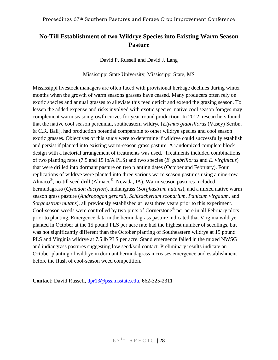# <span id="page-28-1"></span><span id="page-28-0"></span>**No-Till Establishment of two Wildrye Species into Existing Warm Season Pasture**

David P. Russell and David J. Lang

Mississippi State University, Mississippi State, MS

Mississippi livestock managers are often faced with provisional herbage declines during winter months when the growth of warm seasons grasses have ceased. Many producers often rely on exotic species and annual grasses to alleviate this feed deficit and extend the grazing season. To lessen the added expense and risks involved with exotic species, native cool season forages may complement warm season growth curves for year-round production. In 2012, researchers found that the native cool season perennial, southeastern wildrye [*Elymus glabriflorus* (Vasey) Scribn. & C.R. Ball], had production potential comparable to other wildrye species and cool season exotic grasses. Objectives of this study were to determine if wildrye could successfully establish and persist if planted into existing warm-season grass pasture. A randomized complete block design with a factorial arrangement of treatments was used. Treatments included combinations of two planting rates (7.5 and 15 lb/A PLS) and two species (*E. glabriflorus* and *E. virginicus*) that were drilled into dormant pasture on two planting dates (October and February). Four replications of wildrye were planted into three various warm season pastures using a nine-row Almaco<sup>®</sup>, no-till seed drill (Almaco<sup>®</sup>, Nevada, IA). Warm-season pastures included bermudagrass (*Cynodon dactylon*), indiangrass (*Sorghastrum nutans*), and a mixed native warm season grass pasture (*Andropogon gerardii, Schizachyrium scoparium, Panicum virgatum,* and *Sorghastrum nutans*), all previously established at least three years prior to this experiment. Cool-season weeds were controlled by two pints of Cornerstone<sup>®</sup> per acre in all February plots prior to planting. Emergence data in the bermudagrass pasture indicated that Virginia wildrye, planted in October at the 15 pound PLS per acre rate had the highest number of seedlings, but was not significantly different than the October planting of Southeastern wildrye at 15 pound PLS and Virginia wildrye at 7.5 lb PLS per acre. Stand emergence failed in the mixed NWSG and indiangrass pastures suggesting low seed/soil contact. Preliminary results indicate an October planting of wildrye in dormant bermudagrass increases emergence and establishment before the flush of cool-season weed competition.

**Contact**: David Russell, [dpr13@pss.msstate.edu,](mailto:dpr13@pss.msstate.edu) 662-325-2311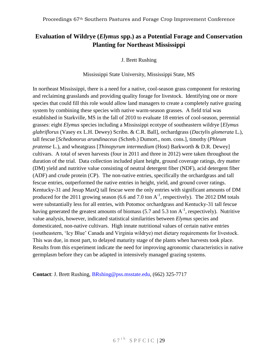# <span id="page-29-1"></span><span id="page-29-0"></span>**Evaluation of Wildrye (***Elymus* **spp.) as a Potential Forage and Conservation Planting for Northeast Mississippi**

J. Brett Rushing

Mississippi State University, Mississippi State, MS

In northeast Mississippi, there is a need for a native, cool-season grass component for restoring and reclaiming grasslands and providing quality forage for livestock. Identifying one or more species that could fill this role would allow land managers to create a completely native grazing system by combining these species with native warm-season grasses. A field trial was established in Starkville, MS in the fall of 2010 to evaluate 18 entries of cool-season, perennial grasses: eight *Elymus* species including a Mississippi ecotype of southeastern wildrye [*Elymus glabriflorus* (Vasey ex L.H. Dewey) Scribn. & C.R. Ball], orchardgrass (*Dactylis glomerata* L.), tall fescue [*Schedonorus arundinaceus* (Schreb.) Dumort., nom. cons.], timothy (*Phleum pratense* L.), and wheatgrass [*Thinopyrum intermedium* (Host) Barkworth & D.R. Dewey] cultivars. A total of seven harvests (four in 2011 and three in 2012) were taken throughout the duration of the trial. Data collection included plant height, ground coverage ratings, dry matter (DM) yield and nutritive value consisting of neutral detergent fiber (NDF), acid detergent fiber (ADF) and crude protein (CP). The non-native entries, specifically the orchardgrass and tall fescue entries, outperformed the native entries in height, yield, and ground cover ratings. Kentucky-31 and Jesup MaxQ tall fescue were the only entries with significant amounts of DM produced for the 2011 growing season (6.6 and 7.0 ton  $A^{-1}$ , respectively). The 2012 DM totals were substantially less for all entries, with Potomoc orchardgrass and Kentucky-31 tall fescue having generated the greatest amounts of biomass (5.7 and 5.3 ton  $A^{-1}$ , respectively). Nutritive value analysis, however, indicated statistical similarities between *Elymus* species and domesticated, non-native cultivars. High innate nutritional values of certain native entries (southeastern, 'Icy Blue' Canada and Virginia wildrye) met dietary requirements for livestock. This was due, in most part, to delayed maturity stage of the plants when harvests took place. Results from this experiment indicate the need for improving agronomic characteristics in native germplasm before they can be adapted in intensively managed grazing systems.

**Contact**: J. Brett Rushing, [BRshing@pss.msstate.edu,](mailto:BRshing@pss.msstate.edu) (662) 325-7717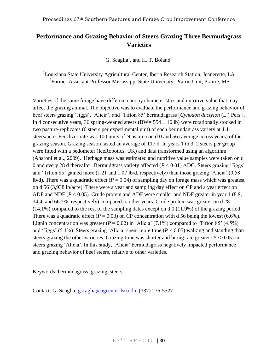# <span id="page-30-0"></span>**Performance and Grazing Behavior of Steers Grazing Three Bermudagrass Varieties**

G. Scaglia<sup>1</sup>, and H. T. Boland<sup>2</sup>

<span id="page-30-1"></span><sup>1</sup>Louisiana State University Agricultural Center, Iberia Research Station, Jeanerette, LA <sup>2</sup> Former Assistant Professor Mississippi State University, Prairie Unit, Prairie, MS

Varieties of the same forage have different canopy characteristics and nutritive value that may affect the grazing animal. The objective was to evaluate the performance and grazing behavior of beef steers grazing 'Jiggs', 'Alicia', and 'Tifton 85' bermudagrass [*Cynodon dactylon* (L.) Pers.]. In 4 consecutive years, 36 spring-weaned steers (BW=  $554 \pm 16$  lb) were rotationally stocked in two pasture-replicates (6 steers per experimental unit) of each bermudagrass variety at 1.1 steers/acre. Fertilizer rate was 100 units of N as urea on d 0 and 56 (average across years) of the grazing season. Grazing season lasted an average of 117 d. In years 1 to 3, 2 steers per group were fitted with a pedometer (IceRobotics, UK) and data transformed using an algorithm (Aharoni et al., 2009). Herbage mass was estimated and nutritive value samples were taken on d 0 and every 28 d thereafter. Bermudgrass variety affected  $(P < 0.01)$  ADG. Steers grazing 'Jiggs' and 'Tifton 85' gained more (1.21 and 1.07 lb/d, respectively) than those grazing 'Alicia' (0.58 lb/d). There was a quadratic effect ( $P = 0.04$ ) of sampling day on forage mass which was greatest on d 56 (3,938 lb/acre). There were a year and sampling day effect on CP and a year effect on ADF and NDF (*P* < 0.05). Crude protein and ADF were smaller and NDF greater in year 1 (8.9, 34.4, and 66.7%, respectively) compared to other years. Crude protein was greater on d 28 (14.1%) compared to the rest of the sampling dates except on d 0 (11.9%) of the grazing period. There was a quadratic effect ( $P = 0.03$ ) on CP concentration with d 56 being the lowest (6.6%). Lignin concentration was greater  $(P = 0.02)$  in 'Alicia'  $(7.1\%)$  compared to 'Tifton 85'  $(4.5\%)$ and 'Jiggs' (5.1%). Steers grazing 'Alicia' spent more time ( $P < 0.05$ ) walking and standing than steers grazing the other varieties. Grazing time was shorter and biting rate greater ( $P < 0.05$ ) in steers grazing 'Alicia'. In this study, 'Alicia' bermudagrass negatively impacted performance and grazing behavior of beef steers, relative to other varieties.

Keywords: bermudagrass, grazing, steers

Contact: G. Scaglia, [gscaglia@agcenter.lsu.edu,](mailto:gscaglia@agcenter.lsu.edu) (337) 276-5527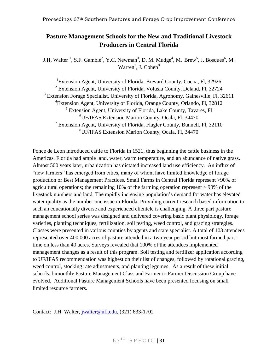# <span id="page-31-0"></span>**Pasture Management Schools for the New and Traditional Livestock Producers in Central Florida**

<span id="page-31-1"></span>J.H. Walter <sup>1</sup>, S.F. Gamble<sup>2</sup>, Y.C. Newman<sup>3</sup>, D. M. Mudge<sup>4</sup>, M. Brew<sup>5</sup>, J. Bosques<sup>6</sup>, M. Warren<sup>7</sup>, J. Cohen<sup>8</sup>

<sup>1</sup>Extension Agent, University of Florida, Brevard County, Cocoa, Fl, 32926 <sup>2</sup> Extension Agent, University of Florida, Volusia County, Deland, Fl, 32724 <sup>3</sup> Extension Forage Specialist, University of Florida, Agronomy, Gainesville, Fl, 32611 4 Extension Agent, University of Florida, Orange County, Orlando, Fl, 32812 <sup>5</sup> Extension Agent, University of Florida, Lake County, Tavares, Fl <sup>6</sup>UF/IFAS Extension Marion County, Ocala, Fl, 34470 <sup>7</sup> Extension Agent, University of Florida, Flagler County, Bunnell, Fl, 32110 <sup>8</sup>UF/IFAS Extension Marion County, Ocala, Fl, 34470

Ponce de Leon introduced cattle to Florida in 1521, thus beginning the cattle business in the Americas. Florida had ample land, water, warm temperature, and an abundance of native grass. Almost 500 years later, urbanization has dictated increased land use efficiency. An influx of "new farmers" has emerged from cities, many of whom have limited knowledge of forage production or Best Management Practices. Small Farms in Central Florida represent >90% of agricultural operations; the remaining 10% of the farming operation represent > 90% of the livestock numbers and land. The rapidly increasing population's demand for water has elevated water quality as the number one issue in Florida. Providing current research based information to such an educationally diverse and experienced clientele is challenging. A three part pasture management school series was designed and delivered covering basic plant physiology, forage varieties, planting techniques, fertilization, soil testing, weed control, and grazing strategies. Classes were presented in various counties by agents and state specialist. A total of 103 attendees represented over 400,000 acres of pasture attended in a two year period but most farmed parttime on less than 40 acres. Surveys revealed that 100% of the attendees implemented management changes as a result of this program. Soil testing and fertilizer application according to UF/IFAS recommendation was highest on their list of changes, followed by rotational grazing, weed control, stocking rate adjustments, and planting legumes. As a result of these initial schools, bimonthly Pasture Management Class and Farmer to Farmer Discussion Group have evolved. Additional Pasture Management Schools have been presented focusing on small limited resource farmers.

Contact: J.H. Walter, [jwalter@ufl.edu,](mailto:jwalter@ufl.edu) (321) 633-1702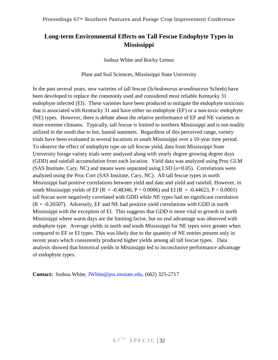# <span id="page-32-1"></span><span id="page-32-0"></span>**Long-term Environmental Effects on Tall Fescue Endophyte Types in Mississippi**

Joshua White and Rocky Lemus

Plant and Soil Sciences, Mississippi State University

In the past several years, new varieties of tall fescue (*Schedonorus arundinaceus* Schreb) have been developed to replace the commonly used and considered most reliable Kentucky 31 endophyte infected (EI). These varieties have been produced to mitigate the endophyte toxicosis that is associated with Kentucky 31 and have either no endophyte (EF) or a non-toxic endophyte (NE) types. However, there is debate about the relative performance of EF and NE varieties in more extreme climates. Typically, tall fescue is limited to northern Mississippi and is not readily utilized in the south due to hot, humid summers. Regardless of this perceived range, variety trials have been evaluated in several locations in south Mississippi over a 10-year time period. To observe the effect of endophyte type on tall fescue yield, data from Mississippi State University forage variety trials were analyzed along with yearly degree growing degree days (GDD) and rainfall accumulation from each location. Yield data was analyzed using Proc GLM (SAS Institute, Cary, NC) and means were separated using LSD  $(a=0.05)$ . Correlations were analyzed using the Proc Corr (SAS Institute, Cary, NC). All tall fescue types in north Mississippi had positive correlations between yield and date and yield and rainfall. However, in south Mississippi yields of EF (R = -0.48346, P < 0.0006) and EI (R = -0.44623, P < 0.0001) tall fescue were negatively correlated with GDD while NE types had no significant correlation  $(R = -0.26507)$ . Adversely, EF and NE had positive yield correlations with GDD in north Mississippi with the exception of EI. This suggests that GDD is more vital to growth in north Mississippi where warm days are the limiting factor, but no real advantage was observed with endophyte type. Average yields in north and south Mississippi for NE types were greater when compared to EF or EI types. This was likely due to the quantity of NE entries present only in recent years which consistently produced higher yields among all tall fescue types. Data analysis showed that historical yields in Mississippi led to inconclusive performance advantage of endophyte types.

**Contact:** Joshua White, [JWhite@pss.msstate.edu,](mailto:JWhite@pss.msstate.edu) (662) 325-2717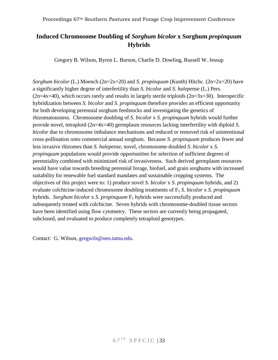# <span id="page-33-0"></span>**Induced Chromosome Doubling of** *Sorghum bicolor* **x Sorghum** *propinquum* **Hybrids**

Gregory B. Wilson, Byron L. Burson, Charlie D. Dowling, Russell W. Jessup

<span id="page-33-1"></span>*Sorghum bicolor* (L.) Moench (2n=2x=20) and *S. propinquum* (Kunth) Hitchc. (2n=2x=20) have a significantly higher degree of interfertility than *S. bicolor* and *S. halepense* (L.) Pers.  $(2n=4x=40)$ , which occurs rarely and results in largely sterile triploids  $(2n=3x=30)$ . Interspecific hybridization between *S. bicolor* and *S. propinquum* therefore provides an efficient opportunity for both developing perennial sorghum feedstocks and investigating the genetics of rhizomatousness. Chromosome doubling of *S. bicolor* x *S. propinquum* hybrids would further provide novel, tetraploid (2n=4x=40) germplasm resources lacking interfertility with diploid *S. bicolor* due to chromosome imbalance mechanisms and reduced or removed risk of unintentional cross-pollination onto commercial annual sorghum. Because *S. propinquum* produces fewer and less invasive rhizomes than *S. halepense*, novel, chromosome-doubled *S. bicolor* x *S. propinquum* populations would provide opportunities for selection of sufficient degrees of perenniality combined with minimized risk of invasiveness. Such derived germplasm resources would have value towards breeding perennial forage, biofuel, and grain sorghums with increased suitability for renewable fuel standard mandates and sustainable cropping systems. The objectives of this project were to: 1) produce novel *S. bicolor* x *S. propinquum* hybrids, and 2) evaluate colchicine-induced chromosome doubling treatments of F<sup>1</sup> *S. bicolor* x *S. propinquum* hybrids. *Sorghum bicolor* x *S. propinquum*  $F_1$  hybrids were successfully produced and subsequently treated with colchicine. Seven hybrids with chromosome-doubled tissue sectors have been identified using flow cytometry. These sectors are currently being propagated, subcloned, and evaluated to produce completely tetraploid genotypes.

Contact: G. Wilson, [gregwils@neo.tamu.edu.](mailto:gregwils@neo.tamu.edu)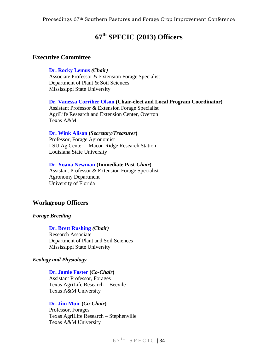# **67th SPFCIC (2013) Officers**

# **Executive Committee**

#### **[Dr. Rocky Lemus](mailto:RLemus@ext.msstate.edu)** *(Chair)*

Associate Professor & Extension Forage Specialist Department of Plant & Soil Sciences Mississippi State University

**Dr. Vanessa [Corriher Olson](mailto:vacorriher@ag.tamu.edu) (Chair-elect and Local Program Coordinator)** Assistant Professor & Extension Forage Specialist AgriLife Research and Extension Center, Overton Texas A&M

#### **[Dr. Wink Alison](mailto:walison@agcenter.lsu.edu) (***Secretary/Treasurer***)**

Professor, Forage Agronomist LSU Ag Center – Macon Ridge Research Station Louisiana State University

#### **[Dr. Yoana Newman](mailto:ycnew@ufl.edu) (Immediate Past-***Chair***)**

Assistant Professor & Extension Forage Specialist Agronomy Department University of Florida

# **Workgroup Officers**

#### *Forage Breeding*

#### **[Dr. Brett Rushing](mailto:jbr93@pss.msstate.edu)** *(Chair)*

Research Associate Department of Plant and Soil Sciences Mississippi State University

#### *Ecology and Physiology*

#### **[Dr. Jamie Foster](mailto:jlfoster@ag.tamu.edu) (***Co-Chair***)**

Assistant Professor, Forages Texas AgriLife Research – Beevile Texas A&M University

#### **[Dr. Jim Muir](mailto:JMuir@ag.tamu.edu) (***Co-Chair***)**

Professor, Forages Texas AgriLife Research – Stephenville Texas A&M University